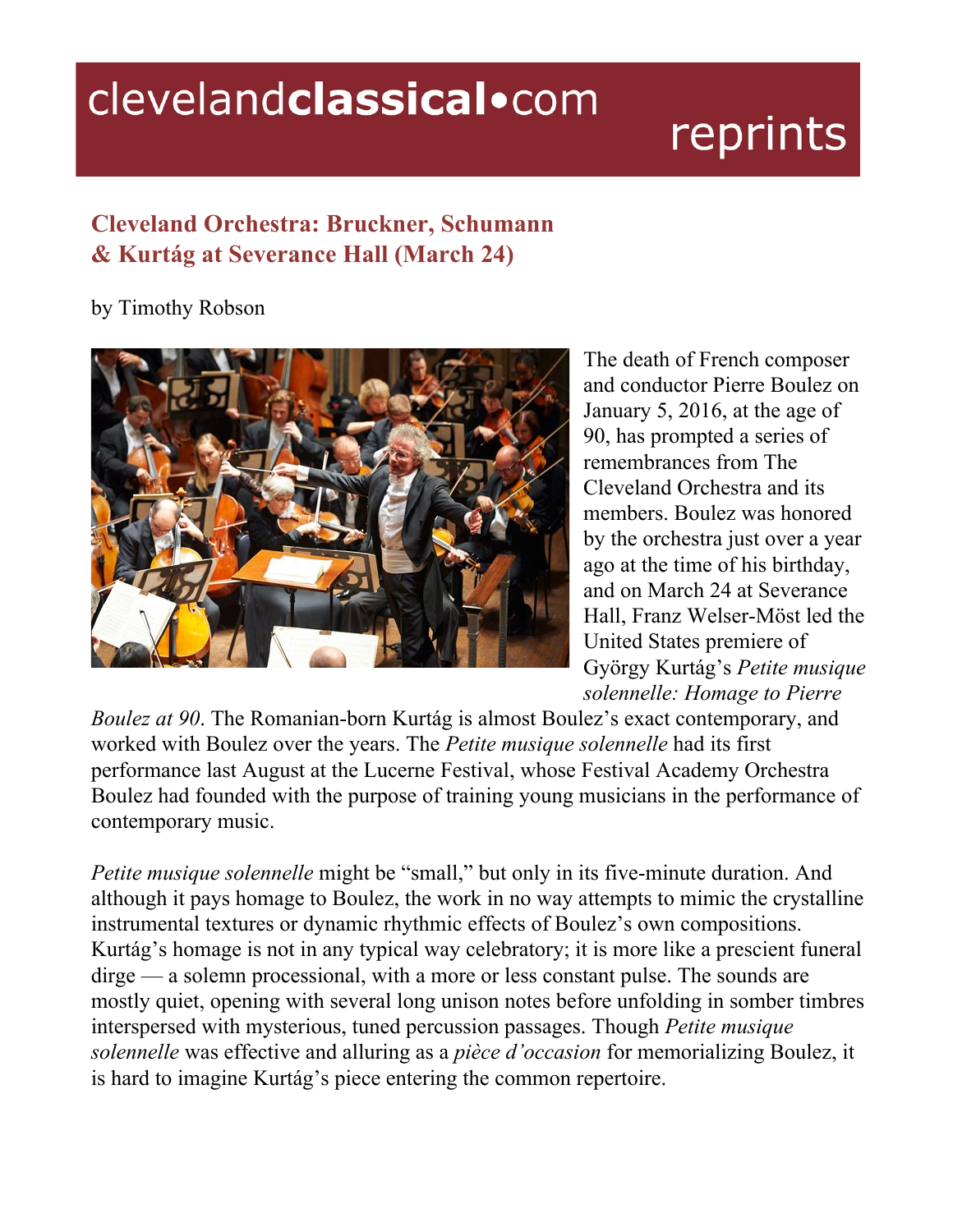## clevelandclassical.com

## reprints

## **Cleveland Orchestra: Bruckner, Schumann & Kurtág at Severance Hall (March 24)**

## by Timothy Robson



The death of French composer and conductor Pierre Boulez on January 5, 2016, at the age of 90, has prompted a series of remembrances from The Cleveland Orchestra and its members. Boulez was honored by the orchestra just over a year ago at the time of his birthday, and on March 24 at Severance Hall, Franz Welser-Möst led the United States premiere of György Kurtág's *Petite musique solennelle: Homage to Pierre*

*Boulez at* 90. The Romanian-born Kurtág is almost Boulez's exact contemporary, and worked with Boulez over the years. The *Petite musique solennelle* had its first performance last August at the Lucerne Festival, whose Festival Academy Orchestra Boulez had founded with the purpose of training young musicians in the performance of contemporary music.

*Petite musique solennelle* might be "small," but only in its five-minute duration. And although it pays homage to Boulez, the work in no way attempts to mimic the crystalline instrumental textures or dynamic rhythmic effects of Boulez's own compositions. Kurtág's homage is not in any typical way celebratory; it is more like a prescient funeral dirge — a solemn processional, with a more or less constant pulse. The sounds are mostly quiet, opening with several long unison notes before unfolding in somber timbres interspersed with mysterious, tuned percussion passages. Though *Petite musique solennelle* was effective and alluring as a *pièce d'occasion* for memorializing Boulez, it is hard to imagine Kurtág's piece entering the common repertoire.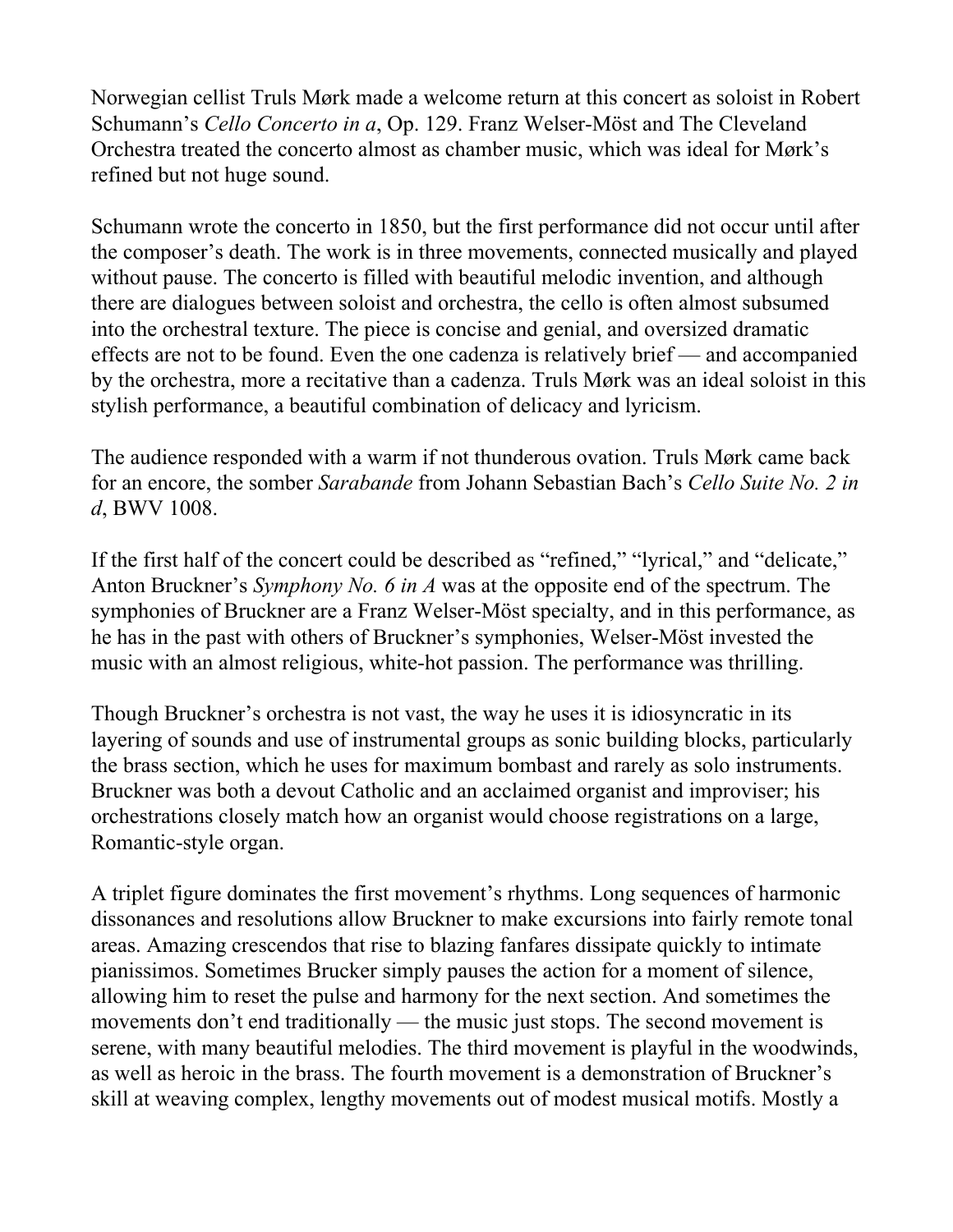Norwegian cellist Truls Mørk made a welcome return at this concert as soloist in Robert Schumann's *Cello Concerto in a*, Op. 129. Franz Welser-Möst and The Cleveland Orchestra treated the concerto almost as chamber music, which was ideal for Mørk's refined but not huge sound.

Schumann wrote the concerto in 1850, but the first performance did not occur until after the composer's death. The work is in three movements, connected musically and played without pause. The concerto is filled with beautiful melodic invention, and although there are dialogues between soloist and orchestra, the cello is often almost subsumed into the orchestral texture. The piece is concise and genial, and oversized dramatic effects are not to be found. Even the one cadenza is relatively brief — and accompanied by the orchestra, more a recitative than a cadenza. Truls Mørk was an ideal soloist in this stylish performance, a beautiful combination of delicacy and lyricism.

The audience responded with a warm if not thunderous ovation. Truls Mørk came back for an encore, the somber *Sarabande* from Johann Sebastian Bach's *Cello Suite No. 2 in d*, BWV 1008.

If the first half of the concert could be described as "refined," "lyrical," and "delicate," Anton Bruckner's *Symphony No. 6 in A* was at the opposite end of the spectrum. The symphonies of Bruckner are a Franz Welser-Möst specialty, and in this performance, as he has in the past with others of Bruckner's symphonies, Welser-Möst invested the music with an almost religious, white-hot passion. The performance was thrilling.

Though Bruckner's orchestra is not vast, the way he uses it is idiosyncratic in its layering of sounds and use of instrumental groups as sonic building blocks, particularly the brass section, which he uses for maximum bombast and rarely as solo instruments. Bruckner was both a devout Catholic and an acclaimed organist and improviser; his orchestrations closely match how an organist would choose registrations on a large, Romantic-style organ.

A triplet figure dominates the first movement's rhythms. Long sequences of harmonic dissonances and resolutions allow Bruckner to make excursions into fairly remote tonal areas. Amazing crescendos that rise to blazing fanfares dissipate quickly to intimate pianissimos. Sometimes Brucker simply pauses the action for a moment of silence, allowing him to reset the pulse and harmony for the next section. And sometimes the movements don't end traditionally — the music just stops. The second movement is serene, with many beautiful melodies. The third movement is playful in the woodwinds, as well as heroic in the brass. The fourth movement is a demonstration of Bruckner's skill at weaving complex, lengthy movements out of modest musical motifs. Mostly a